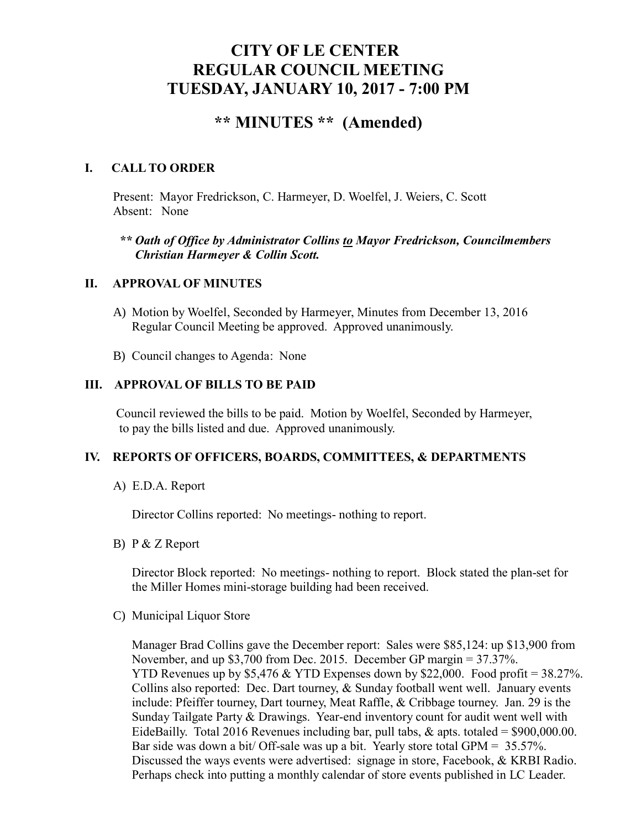# **CITY OF LE CENTER REGULAR COUNCIL MEETING TUESDAY, JANUARY 10, 2017 - 7:00 PM**

# **\*\* MINUTES \*\* (Amended)**

## **I. CALL TO ORDER**

Present: Mayor Fredrickson, C. Harmeyer, D. Woelfel, J. Weiers, C. Scott Absent: None

## *\*\* Oath of Office by Administrator Collins to Mayor Fredrickson, Councilmembers Christian Harmeyer & Collin Scott.*

## **II. APPROVAL OF MINUTES**

- A) Motion by Woelfel, Seconded by Harmeyer, Minutes from December 13, 2016 Regular Council Meeting be approved. Approved unanimously.
- B) Council changes to Agenda: None

## **III. APPROVAL OF BILLS TO BE PAID**

Council reviewed the bills to be paid. Motion by Woelfel, Seconded by Harmeyer, to pay the bills listed and due. Approved unanimously.

## **IV. REPORTS OF OFFICERS, BOARDS, COMMITTEES, & DEPARTMENTS**

A) E.D.A. Report

Director Collins reported: No meetings- nothing to report.

B) P & Z Report

 Director Block reported: No meetings- nothing to report. Block stated the plan-set for the Miller Homes mini-storage building had been received.

C) Municipal Liquor Store

Manager Brad Collins gave the December report: Sales were \$85,124: up \$13,900 from November, and up \$3,700 from Dec. 2015. December GP margin = 37.37%. YTD Revenues up by \$5,476 & YTD Expenses down by \$22,000. Food profit = 38.27%. Collins also reported: Dec. Dart tourney, & Sunday football went well. January events include: Pfeiffer tourney, Dart tourney, Meat Raffle, & Cribbage tourney. Jan. 29 is the Sunday Tailgate Party & Drawings. Year-end inventory count for audit went well with EideBailly. Total 2016 Revenues including bar, pull tabs,  $\&$  apts. totaled = \$900,000.00. Bar side was down a bit/ Off-sale was up a bit. Yearly store total GPM = 35.57%. Discussed the ways events were advertised: signage in store, Facebook, & KRBI Radio. Perhaps check into putting a monthly calendar of store events published in LC Leader.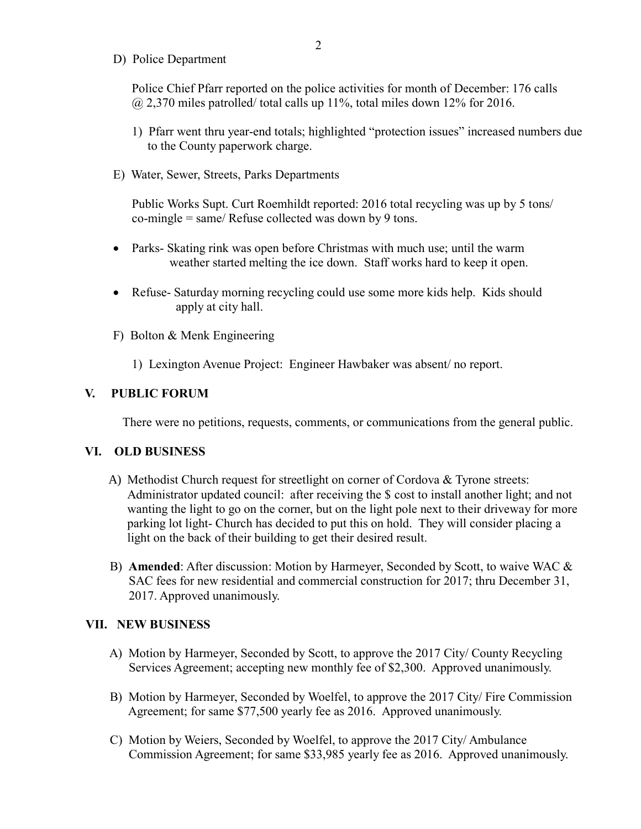D) Police Department

Police Chief Pfarr reported on the police activities for month of December: 176 calls  $\omega$  2,370 miles patrolled/ total calls up 11%, total miles down 12% for 2016.

- 1) Pfarr went thru year-end totals; highlighted "protection issues" increased numbers due to the County paperwork charge.
- E) Water, Sewer, Streets, Parks Departments

 Public Works Supt. Curt Roemhildt reported: 2016 total recycling was up by 5 tons/ co-mingle = same/ Refuse collected was down by 9 tons.

- Parks- Skating rink was open before Christmas with much use; until the warm weather started melting the ice down. Staff works hard to keep it open.
- Refuse- Saturday morning recycling could use some more kids help. Kids should apply at city hall.
- F) Bolton & Menk Engineering
	- 1) Lexington Avenue Project: Engineer Hawbaker was absent/ no report.

#### **V. PUBLIC FORUM**

There were no petitions, requests, comments, or communications from the general public.

#### **VI. OLD BUSINESS**

- A) Methodist Church request for streetlight on corner of Cordova & Tyrone streets: Administrator updated council: after receiving the \$ cost to install another light; and not wanting the light to go on the corner, but on the light pole next to their driveway for more parking lot light- Church has decided to put this on hold. They will consider placing a light on the back of their building to get their desired result.
- B) **Amended**: After discussion: Motion by Harmeyer, Seconded by Scott, to waive WAC & SAC fees for new residential and commercial construction for 2017; thru December 31, 2017. Approved unanimously.

#### **VII. NEW BUSINESS**

- A) Motion by Harmeyer, Seconded by Scott, to approve the 2017 City/ County Recycling Services Agreement; accepting new monthly fee of \$2,300. Approved unanimously.
- B) Motion by Harmeyer, Seconded by Woelfel, to approve the 2017 City/ Fire Commission Agreement; for same \$77,500 yearly fee as 2016. Approved unanimously.
- C) Motion by Weiers, Seconded by Woelfel, to approve the 2017 City/ Ambulance Commission Agreement; for same \$33,985 yearly fee as 2016. Approved unanimously.